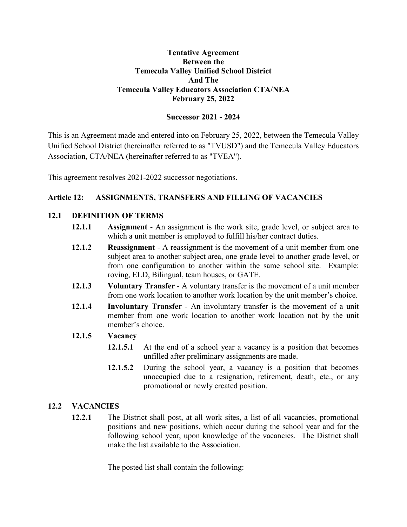#### **Tentative Agreement Between the Temecula Valley Unified School District And The Temecula Valley Educators Association CTA/NEA February 25, 2022**

# **Successor 2021 - 2024**

This is an Agreement made and entered into on February 25, 2022, between the Temecula Valley Unified School District (hereinafter referred to as "TVUSD") and the Temecula Valley Educators Association, CTA/NEA (hereinafter referred to as "TVEA").

This agreement resolves 2021-2022 successor negotiations.

# **Article 12: ASSIGNMENTS, TRANSFERS AND FILLING OF VACANCIES**

# **12.1 DEFINITION OF TERMS**

- **12.1.1 Assignment** An assignment is the work site, grade level, or subject area to which a unit member is employed to fulfill his/her contract duties.
- **12.1.2 Reassignment** A reassignment is the movement of a unit member from one subject area to another subject area, one grade level to another grade level, or from one configuration to another within the same school site. Example: roving, ELD, Bilingual, team houses, or GATE.
- **12.1.3 Voluntary Transfer** A voluntary transfer is the movement of a unit member from one work location to another work location by the unit member's choice.
- **12.1.4 Involuntary Transfer** An involuntary transfer is the movement of a unit member from one work location to another work location not by the unit member's choice.

## **12.1.5 Vacancy**

- **12.1.5.1** At the end of a school year a vacancy is a position that becomes unfilled after preliminary assignments are made.
- **12.1.5.2** During the school year, a vacancy is a position that becomes unoccupied due to a resignation, retirement, death, etc., or any promotional or newly created position.

## **12.2 VACANCIES**

**12.2.1** The District shall post, at all work sites, a list of all vacancies, promotional positions and new positions, which occur during the school year and for the following school year, upon knowledge of the vacancies. The District shall make the list available to the Association.

The posted list shall contain the following: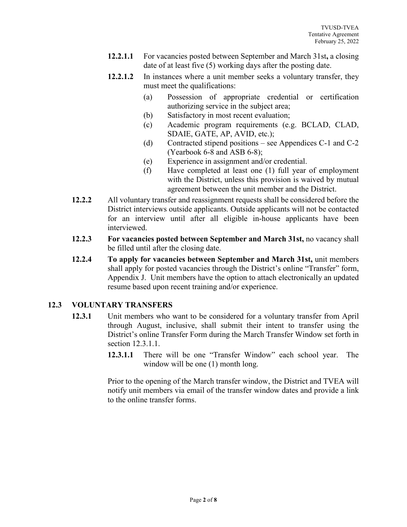- **12.2.1.1** For vacancies posted between September and March 31st**,** a closing date of at least five (5) working days after the posting date.
- **12.2.1.2** In instances where a unit member seeks a voluntary transfer, they must meet the qualifications:
	- (a) Possession of appropriate credential or certification authorizing service in the subject area;
	- (b) Satisfactory in most recent evaluation;
	- (c) Academic program requirements (e.g. BCLAD, CLAD, SDAIE, GATE, AP, AVID, etc.);
	- (d) Contracted stipend positions see Appendices C-1 and C-2 (Yearbook 6-8 and ASB 6-8);
	- (e) Experience in assignment and/or credential.
	- (f) Have completed at least one (1) full year of employment with the District, unless this provision is waived by mutual agreement between the unit member and the District.
- **12.2.2** All voluntary transfer and reassignment requests shall be considered before the District interviews outside applicants. Outside applicants will not be contacted for an interview until after all eligible in-house applicants have been interviewed.
- **12.2.3 For vacancies posted between September and March 31st,** no vacancy shall be filled until after the closing date.
- **12.2.4 To apply for vacancies between September and March 31st,** unit members shall apply for posted vacancies through the District's online "Transfer" form, Appendix J. Unit members have the option to attach electronically an updated resume based upon recent training and/or experience.

## **12.3 VOLUNTARY TRANSFERS**

- **12.3.1** Unit members who want to be considered for a voluntary transfer from April through August, inclusive, shall submit their intent to transfer using the District's online Transfer Form during the March Transfer Window set forth in section 12.3.1.1.
	- **12.3.1.1** There will be one "Transfer Window" each school year. The window will be one (1) month long.

Prior to the opening of the March transfer window, the District and TVEA will notify unit members via email of the transfer window dates and provide a link to the online transfer forms.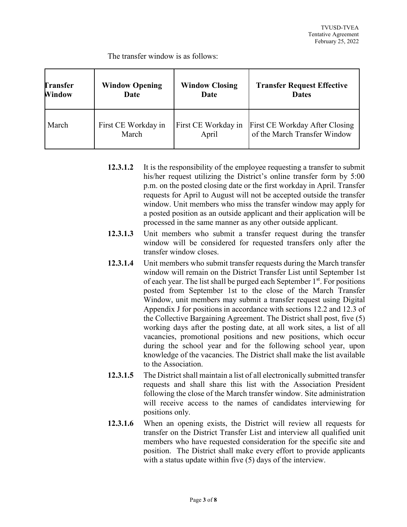The transfer window is as follows:

| <b>Transfer</b> | <b>Window Opening</b> | <b>Window Closing</b> | <b>Transfer Request Effective</b> |
|-----------------|-----------------------|-----------------------|-----------------------------------|
| Window          | Date                  | Date                  | <b>Dates</b>                      |
| March           | First CE Workday in   | First CE Workday in   | First CE Workday After Closing    |
|                 | March                 | April                 | of the March Transfer Window      |

- **12.3.1.2** It is the responsibility of the employee requesting a transfer to submit his/her request utilizing the District's online transfer form by 5:00 p.m. on the posted closing date or the first workday in April. Transfer requests for April to August will not be accepted outside the transfer window. Unit members who miss the transfer window may apply for a posted position as an outside applicant and their application will be processed in the same manner as any other outside applicant.
- **12.3.1.3** Unit members who submit a transfer request during the transfer window will be considered for requested transfers only after the transfer window closes.
- **12.3.1.4** Unit members who submit transfer requests during the March transfer window will remain on the District Transfer List until September 1st of each year. The list shall be purged each September  $1<sup>st</sup>$ . For positions posted from September 1st to the close of the March Transfer Window, unit members may submit a transfer request using Digital Appendix J for positions in accordance with sections 12.2 and 12.3 of the Collective Bargaining Agreement. The District shall post, five (5) working days after the posting date, at all work sites, a list of all vacancies, promotional positions and new positions, which occur during the school year and for the following school year, upon knowledge of the vacancies. The District shall make the list available to the Association.
- **12.3.1.5** The District shall maintain a list of all electronically submitted transfer requests and shall share this list with the Association President following the close of the March transfer window. Site administration will receive access to the names of candidates interviewing for positions only.
- **12.3.1.6** When an opening exists, the District will review all requests for transfer on the District Transfer List and interview all qualified unit members who have requested consideration for the specific site and position. The District shall make every effort to provide applicants with a status update within five (5) days of the interview.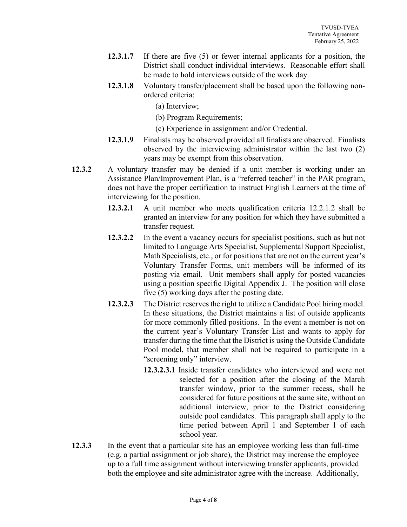- **12.3.1.7** If there are five (5) or fewer internal applicants for a position, the District shall conduct individual interviews. Reasonable effort shall be made to hold interviews outside of the work day.
- **12.3.1.8** Voluntary transfer/placement shall be based upon the following nonordered criteria:
	- (a) Interview;
	- (b) Program Requirements;
	- (c) Experience in assignment and/or Credential.
- **12.3.1.9** Finalists may be observed provided all finalists are observed. Finalists observed by the interviewing administrator within the last two (2) years may be exempt from this observation.
- **12.3.2** A voluntary transfer may be denied if a unit member is working under an Assistance Plan/Improvement Plan, is a "referred teacher" in the PAR program, does not have the proper certification to instruct English Learners at the time of interviewing for the position.
	- **12.3.2.1** A unit member who meets qualification criteria 12.2.1.2 shall be granted an interview for any position for which they have submitted a transfer request.
	- **12.3.2.2** In the event a vacancy occurs for specialist positions, such as but not limited to Language Arts Specialist, Supplemental Support Specialist, Math Specialists, etc., or for positions that are not on the current year's Voluntary Transfer Forms, unit members will be informed of its posting via email. Unit members shall apply for posted vacancies using a position specific Digital Appendix J. The position will close five (5) working days after the posting date.
	- **12.3.2.3** The District reserves the right to utilize a Candidate Pool hiring model. In these situations, the District maintains a list of outside applicants for more commonly filled positions. In the event a member is not on the current year's Voluntary Transfer List and wants to apply for transfer during the time that the District is using the Outside Candidate Pool model, that member shall not be required to participate in a "screening only" interview.
		- **12.3.2.3.1** Inside transfer candidates who interviewed and were not selected for a position after the closing of the March transfer window, prior to the summer recess, shall be considered for future positions at the same site, without an additional interview, prior to the District considering outside pool candidates. This paragraph shall apply to the time period between April 1 and September 1 of each school year.
- **12.3.3** In the event that a particular site has an employee working less than full-time (e.g. a partial assignment or job share), the District may increase the employee up to a full time assignment without interviewing transfer applicants, provided both the employee and site administrator agree with the increase. Additionally,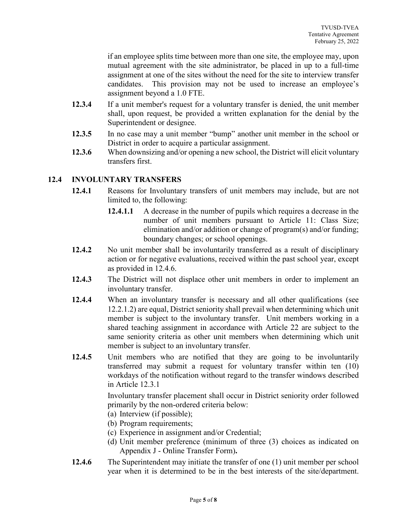if an employee splits time between more than one site, the employee may, upon mutual agreement with the site administrator, be placed in up to a full-time assignment at one of the sites without the need for the site to interview transfer candidates. This provision may not be used to increase an employee's assignment beyond a 1.0 FTE.

- **12.3.4** If a unit member's request for a voluntary transfer is denied, the unit member shall, upon request, be provided a written explanation for the denial by the Superintendent or designee.
- **12.3.5** In no case may a unit member "bump" another unit member in the school or District in order to acquire a particular assignment.
- **12.3.6** When downsizing and/or opening a new school, the District will elicit voluntary transfers first.

#### **12.4 INVOLUNTARY TRANSFERS**

- **12.4.1** Reasons for Involuntary transfers of unit members may include, but are not limited to, the following:
	- **12.4.1.1** A decrease in the number of pupils which requires a decrease in the number of unit members pursuant to Article 11: Class Size; elimination and/or addition or change of program(s) and/or funding; boundary changes; or school openings.
- **12.4.2** No unit member shall be involuntarily transferred as a result of disciplinary action or for negative evaluations, received within the past school year, except as provided in 12.4.6.
- **12.4.3** The District will not displace other unit members in order to implement an involuntary transfer.
- **12.4.4** When an involuntary transfer is necessary and all other qualifications (see 12.2.1.2) are equal, District seniority shall prevail when determining which unit member is subject to the involuntary transfer. Unit members working in a shared teaching assignment in accordance with Article 22 are subject to the same seniority criteria as other unit members when determining which unit member is subject to an involuntary transfer.
- **12.4.5** Unit members who are notified that they are going to be involuntarily transferred may submit a request for voluntary transfer within ten (10) workdays of the notification without regard to the transfer windows described in Article 12.3.1

Involuntary transfer placement shall occur in District seniority order followed primarily by the non-ordered criteria below:

- (a) Interview (if possible);
- (b) Program requirements;
- (c) Experience in assignment and/or Credential;
- (d) Unit member preference (minimum of three (3) choices as indicated on Appendix J - Online Transfer Form)**.**
- **12.4.6** The Superintendent may initiate the transfer of one (1) unit member per school year when it is determined to be in the best interests of the site/department.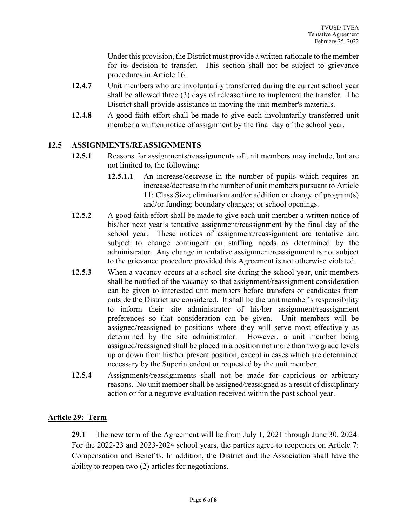Under this provision, the District must provide a written rationale to the member for its decision to transfer. This section shall not be subject to grievance procedures in Article 16.

- **12.4.7** Unit members who are involuntarily transferred during the current school year shall be allowed three (3) days of release time to implement the transfer. The District shall provide assistance in moving the unit member's materials.
- **12.4.8** A good faith effort shall be made to give each involuntarily transferred unit member a written notice of assignment by the final day of the school year.

#### **12.5 ASSIGNMENTS/REASSIGNMENTS**

- **12.5.1** Reasons for assignments/reassignments of unit members may include, but are not limited to, the following:
	- **12.5.1.1** An increase/decrease in the number of pupils which requires an increase/decrease in the number of unit members pursuant to Article 11: Class Size; elimination and/or addition or change of program(s) and/or funding; boundary changes; or school openings.
- **12.5.2** A good faith effort shall be made to give each unit member a written notice of his/her next year's tentative assignment/reassignment by the final day of the school year. These notices of assignment/reassignment are tentative and subject to change contingent on staffing needs as determined by the administrator. Any change in tentative assignment/reassignment is not subject to the grievance procedure provided this Agreement is not otherwise violated.
- **12.5.3** When a vacancy occurs at a school site during the school year, unit members shall be notified of the vacancy so that assignment/reassignment consideration can be given to interested unit members before transfers or candidates from outside the District are considered. It shall be the unit member's responsibility to inform their site administrator of his/her assignment/reassignment preferences so that consideration can be given. Unit members will be assigned/reassigned to positions where they will serve most effectively as determined by the site administrator. However, a unit member being assigned/reassigned shall be placed in a position not more than two grade levels up or down from his/her present position, except in cases which are determined necessary by the Superintendent or requested by the unit member.
- **12.5.4** Assignments/reassignments shall not be made for capricious or arbitrary reasons. No unit member shall be assigned/reassigned as a result of disciplinary action or for a negative evaluation received within the past school year.

## **Article 29: Term**

**29.1** The new term of the Agreement will be from July 1, 2021 through June 30, 2024. For the 2022-23 and 2023-2024 school years, the parties agree to reopeners on Article 7: Compensation and Benefits. In addition, the District and the Association shall have the ability to reopen two (2) articles for negotiations.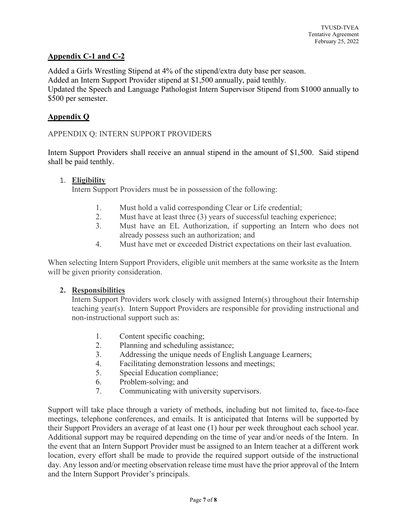# **Appendix C-1 and C-2**

Added a Girls Wrestling Stipend at 4% of the stipend/extra duty base per season. Added an Intern Support Provider stipend at \$1,500 annually, paid tenthly. Updated the Speech and Language Pathologist Intern Supervisor Stipend from \$1000 annually to \$500 per semester.

## **Appendix Q**

#### APPENDIX Q: INTERN SUPPORT PROVIDERS

Intern Support Providers shall receive an annual stipend in the amount of \$1,500. Said stipend shall be paid tenthly.

#### 1. **Eligibility**

Intern Support Providers must be in possession of the following:

- 1. Must hold a valid corresponding Clear or Life credential;
- 2. Must have at least three (3) years of successful teaching experience;
- 3. Must have an EL Authorization, if supporting an Intern who does not already possess such an authorization; and
- 4. Must have met or exceeded District expectations on their last evaluation.

When selecting Intern Support Providers, eligible unit members at the same worksite as the Intern will be given priority consideration.

#### **2. Responsibilities**

Intern Support Providers work closely with assigned Intern(s) throughout their Internship teaching year(s). Intern Support Providers are responsible for providing instructional and non-instructional support such as:

- 1. Content specific coaching;
- 2. Planning and scheduling assistance;
- 3. Addressing the unique needs of English Language Learners;
- 4. Facilitating demonstration lessons and meetings;
- 5. Special Education compliance;
- 6. Problem-solving; and
- 7. Communicating with university supervisors.

Support will take place through a variety of methods, including but not limited to, face-to-face meetings, telephone conferences, and emails. It is anticipated that Interns will be supported by their Support Providers an average of at least one (1) hour per week throughout each school year. Additional support may be required depending on the time of year and/or needs of the Intern. In the event that an Intern Support Provider must be assigned to an Intern teacher at a different work location, every effort shall be made to provide the required support outside of the instructional day. Any lesson and/or meeting observation release time must have the prior approval of the Intern and the Intern Support Provider's principals.